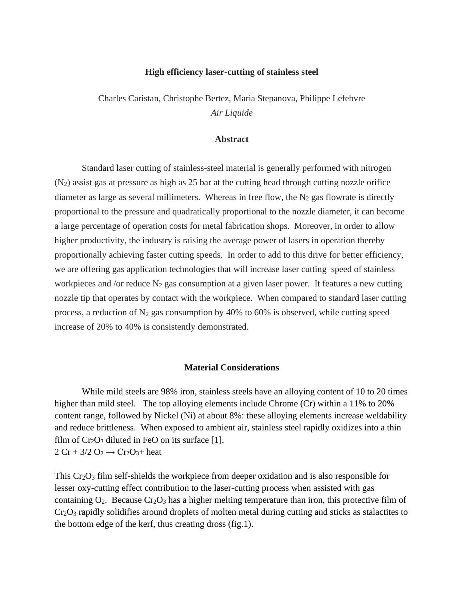#### **High efficiency laser-cutting of stainless steel**

Charles Caristan, Christophe Bertez, Maria Stepanova, Philippe Lefebvre *Air Liquide*

#### **Abstract**

Standard laser cutting of stainless-steel material is generally performed with nitrogen  $(N<sub>2</sub>)$  assist gas at pressure as high as 25 bar at the cutting head through cutting nozzle orifice diameter as large as several millimeters. Whereas in free flow, the  $N_2$  gas flowrate is directly proportional to the pressure and quadratically proportional to the nozzle diameter, it can become a large percentage of operation costs for metal fabrication shops. Moreover, in order to allow higher productivity, the industry is raising the average power of lasers in operation thereby proportionally achieving faster cutting speeds. In order to add to this drive for better efficiency, we are offering gas application technologies that will increase laser cutting speed of stainless workpieces and /or reduce  $N_2$  gas consumption at a given laser power. It features a new cutting nozzle tip that operates by contact with the workpiece. When compared to standard laser cutting process, a reduction of  $N_2$  gas consumption by 40% to 60% is observed, while cutting speed increase of 20% to 40% is consistently demonstrated.

### **Material Considerations**

While mild steels are 98% iron, stainless steels have an alloying content of 10 to 20 times higher than mild steel. The top alloying elements include Chrome (Cr) within a 11% to 20% content range, followed by Nickel (Ni) at about 8%: these alloying elements increase weldability and reduce brittleness. When exposed to ambient air, stainless steel rapidly oxidizes into a thin film of  $Cr_2O_3$  diluted in FeO on its surface [1].  $2 Cr + 3/2 O_2 \rightarrow Cr_2O_3$ + heat

This  $Cr_2O_3$  film self-shields the workpiece from deeper oxidation and is also responsible for lesser oxy-cutting effect contribution to the laser-cutting process when assisted with gas containing  $O_2$ . Because  $Cr_2O_3$  has a higher melting temperature than iron, this protective film of Cr2O<sup>3</sup> rapidly solidifies around droplets of molten metal during cutting and sticks as stalactites to the bottom edge of the kerf, thus creating dross (fig.1).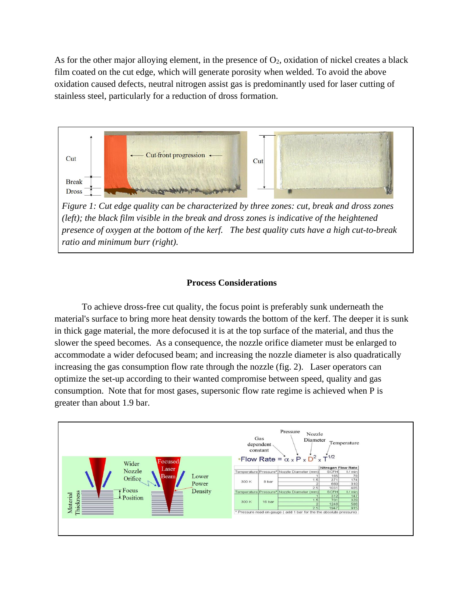As for the other major alloying element, in the presence of  $O_2$ , oxidation of nickel creates a black film coated on the cut edge, which will generate porosity when welded. To avoid the above oxidation caused defects, neutral nitrogen assist gas is predominantly used for laser cutting of stainless steel, particularly for a reduction of dross formation.



*(left); the black film visible in the break and dross zones is indicative of the heightened presence of oxygen at the bottom of the kerf. The best quality cuts have a high cut-to-break ratio and minimum burr (right).*

## **Process Considerations**

To achieve dross-free cut quality, the focus point is preferably sunk underneath the material's surface to bring more heat density towards the bottom of the kerf. The deeper it is sunk in thick gage material, the more defocused it is at the top surface of the material, and thus the slower the speed becomes. As a consequence, the nozzle orifice diameter must be enlarged to accommodate a wider defocused beam; and increasing the nozzle diameter is also quadratically increasing the gas consumption flow rate through the nozzle (fig. 2). Laser operators can optimize the set-up according to their wanted compromise between speed, quality and gas consumption. Note that for most gases, supersonic flow rate regime is achieved when P is greater than about 1.9 bar.

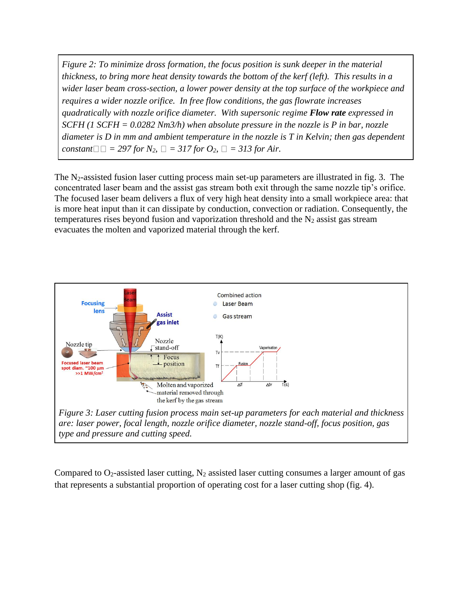*Figure 2: To minimize dross formation, the focus position is sunk deeper in the material thickness, to bring more heat density towards the bottom of the kerf (left). This results in a wider laser beam cross-section, a lower power density at the top surface of the workpiece and requires a wider nozzle orifice. In free flow conditions, the gas flowrate increases quadratically with nozzle orifice diameter. With supersonic regime Flow rate expressed in SCFH (1 SCFH = 0.0282 Nm3/h) when absolute pressure in the nozzle is P in bar, nozzle diameter is D in mm and ambient temperature in the nozzle is T in Kelvin; then gas dependent constant*  $\Box$  = 297 *for*  $N_2$ ,  $\Box$  = 317 *for*  $O_2$ ,  $\Box$  = 313 *for* Air.

The N2-assisted fusion laser cutting process main set-up parameters are illustrated in fig. 3. The concentrated laser beam and the assist gas stream both exit through the same nozzle tip's orifice. The focused laser beam delivers a flux of very high heat density into a small workpiece area: that is more heat input than it can dissipate by conduction, convection or radiation. Consequently, the temperatures rises beyond fusion and vaporization threshold and the  $N_2$  assist gas stream evacuates the molten and vaporized material through the kerf.



*type and pressure and cutting speed.*

Compared to  $O_2$ -assisted laser cutting,  $N_2$  assisted laser cutting consumes a larger amount of gas that represents a substantial proportion of operating cost for a laser cutting shop (fig. 4).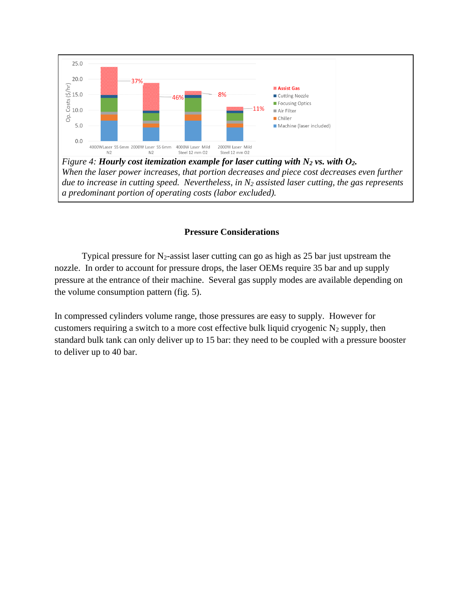

*When the laser power increases, that portion decreases and piece cost decreases even further due to increase in cutting speed. Nevertheless, in N<sup>2</sup> assisted laser cutting, the gas represents a predominant portion of operating costs (labor excluded).*

## **Pressure Considerations**

Typical pressure for  $N_2$ -assist laser cutting can go as high as 25 bar just upstream the nozzle. In order to account for pressure drops, the laser OEMs require 35 bar and up supply pressure at the entrance of their machine. Several gas supply modes are available depending on the volume consumption pattern (fig. 5).

In compressed cylinders volume range, those pressures are easy to supply. However for customers requiring a switch to a more cost effective bulk liquid cryogenic  $N_2$  supply, then standard bulk tank can only deliver up to 15 bar: they need to be coupled with a pressure booster to deliver up to 40 bar.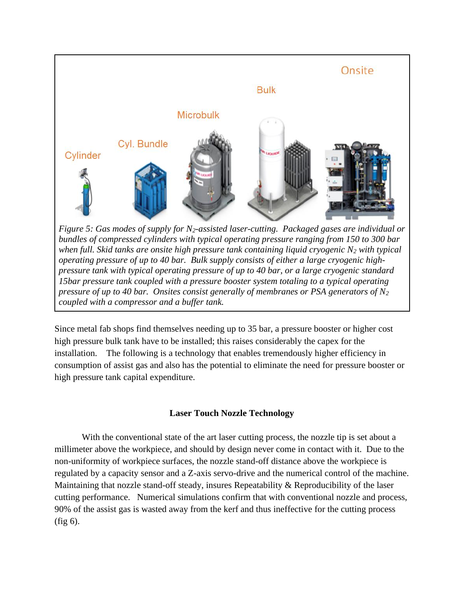

*pressure of up to 40 bar. Onsites consist generally of membranes or PSA generators of N<sup>2</sup> coupled with a compressor and a buffer tank.*

Since metal fab shops find themselves needing up to 35 bar, a pressure booster or higher cost high pressure bulk tank have to be installed; this raises considerably the capex for the installation. The following is a technology that enables tremendously higher efficiency in consumption of assist gas and also has the potential to eliminate the need for pressure booster or high pressure tank capital expenditure.

# **Laser Touch Nozzle Technology**

With the conventional state of the art laser cutting process, the nozzle tip is set about a millimeter above the workpiece, and should by design never come in contact with it. Due to the non-uniformity of workpiece surfaces, the nozzle stand-off distance above the workpiece is regulated by a capacity sensor and a Z-axis servo-drive and the numerical control of the machine. Maintaining that nozzle stand-off steady, insures Repeatability & Reproducibility of the laser cutting performance. Numerical simulations confirm that with conventional nozzle and process, 90% of the assist gas is wasted away from the kerf and thus ineffective for the cutting process (fig 6).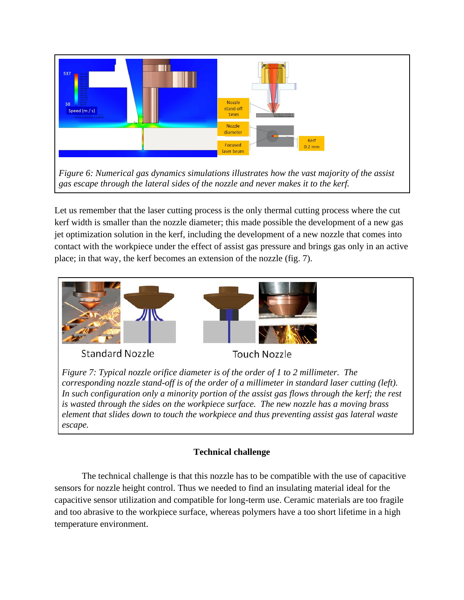

Let us remember that the laser cutting process is the only thermal cutting process where the cut kerf width is smaller than the nozzle diameter; this made possible the development of a new gas jet optimization solution in the kerf, including the development of a new nozzle that comes into contact with the workpiece under the effect of assist gas pressure and brings gas only in an active place; in that way, the kerf becomes an extension of the nozzle (fig. 7).



*corresponding nozzle stand-off is of the order of a millimeter in standard laser cutting (left). In such configuration only a minority portion of the assist gas flows through the kerf; the rest is wasted through the sides on the workpiece surface. The new nozzle has a moving brass element that slides down to touch the workpiece and thus preventing assist gas lateral waste escape.*

# **Technical challenge**

The technical challenge is that this nozzle has to be compatible with the use of capacitive sensors for nozzle height control. Thus we needed to find an insulating material ideal for the capacitive sensor utilization and compatible for long-term use. Ceramic materials are too fragile and too abrasive to the workpiece surface, whereas polymers have a too short lifetime in a high temperature environment.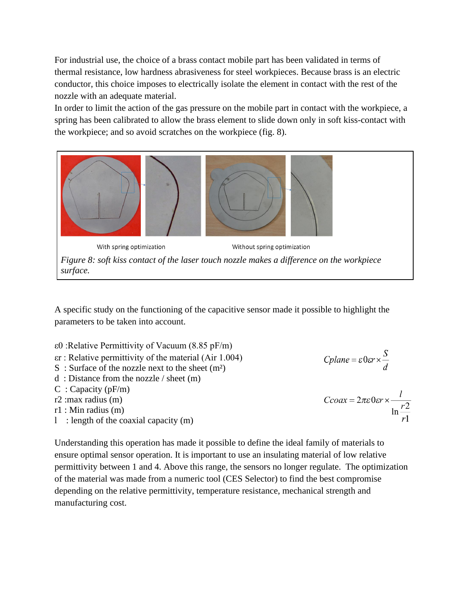For industrial use, the choice of a brass contact mobile part has been validated in terms of thermal resistance, low hardness abrasiveness for steel workpieces. Because brass is an electric conductor, this choice imposes to electrically isolate the element in contact with the rest of the nozzle with an adequate material.

In order to limit the action of the gas pressure on the mobile part in contact with the workpiece, a spring has been calibrated to allow the brass element to slide down only in soft kiss-contact with the workpiece; and so avoid scratches on the workpiece (fig. 8).



A specific study on the functioning of the capacitive sensor made it possible to highlight the parameters to be taken into account.

- ε0 :Relative Permittivity of Vacuum (8.85 pF/m)
- εr : Relative permittivity of the material (Air 1.004)
- S : Surface of the nozzle next to the sheet (m²)
- d : Distance from the nozzle / sheet (m)
- $C:$  Capacity (pF/m)
- r2 :max radius (m)
- r1 : Min radius (m)
- l : length of the coaxial capacity (m)

Understanding this operation has made it possible to define the ideal family of materials to ensure optimal sensor operation. It is important to use an insulating material of low relative permittivity between 1 and 4. Above this range, the sensors no longer regulate. The optimization of the material was made from a numeric tool (CES Selector) to find the best compromise depending on the relative permittivity, temperature resistance, mechanical strength and manufacturing cost.

$$
Cplane = \varepsilon 0 \varepsilon r \times \frac{S}{d}
$$

$$
Ccoax = 2\pi\varepsilon 0 \varepsilon r \times \frac{l}{\ln\frac{r^2}{r^1}}
$$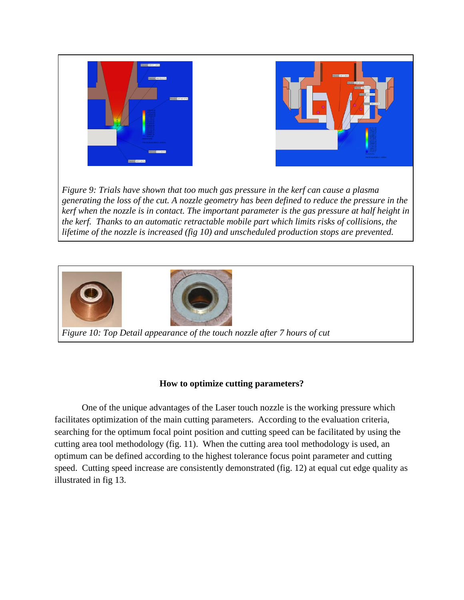

*Figure 9: Trials have shown that too much gas pressure in the kerf can cause a plasma generating the loss of the cut. A nozzle geometry has been defined to reduce the pressure in the kerf when the nozzle is in contact. The important parameter is the gas pressure at half height in the kerf. Thanks to an automatic retractable mobile part which limits risks of collisions, the lifetime of the nozzle is increased (fig 10) and unscheduled production stops are prevented.*



*Figure 10: Top Detail appearance of the touch nozzle after 7 hours of cut*

## **How to optimize cutting parameters?**

One of the unique advantages of the Laser touch nozzle is the working pressure which facilitates optimization of the main cutting parameters. According to the evaluation criteria, searching for the optimum focal point position and cutting speed can be facilitated by using the cutting area tool methodology (fig. 11). When the cutting area tool methodology is used, an optimum can be defined according to the highest tolerance focus point parameter and cutting speed. Cutting speed increase are consistently demonstrated (fig. 12) at equal cut edge quality as illustrated in fig 13.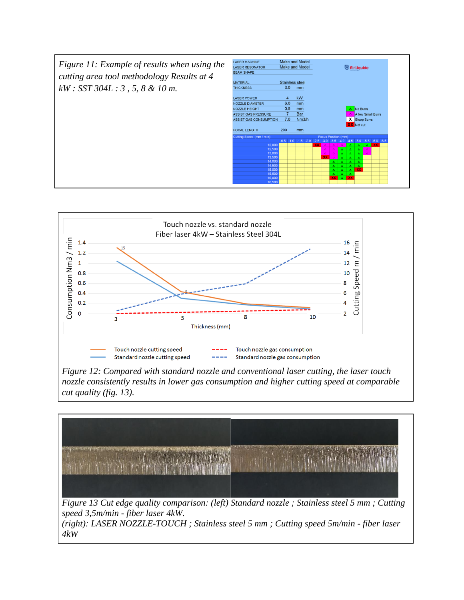*Figure 11: Example of results when using the cutting area tool methodology Results at 4 kW : SST 304L : 3 , 5, 8 & 10 m.*





*Figure 12: Compared with standard nozzle and conventional laser cutting, the laser touch nozzle consistently results in lower gas consumption and higher cutting speed at comparable cut quality (fig. 13).*

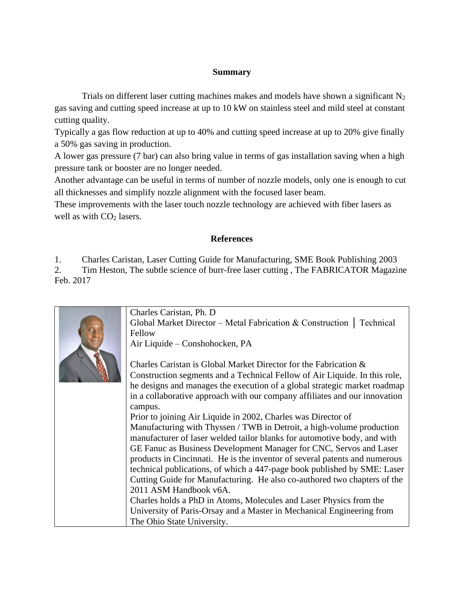### **Summary**

Trials on different laser cutting machines makes and models have shown a significant  $N_2$ gas saving and cutting speed increase at up to 10 kW on stainless steel and mild steel at constant cutting quality.

Typically a gas flow reduction at up to 40% and cutting speed increase at up to 20% give finally a 50% gas saving in production.

A lower gas pressure (7 bar) can also bring value in terms of gas installation saving when a high pressure tank or booster are no longer needed.

Another advantage can be useful in terms of number of nozzle models, only one is enough to cut all thicknesses and simplify nozzle alignment with the focused laser beam.

These improvements with the laser touch nozzle technology are achieved with fiber lasers as well as with  $CO<sub>2</sub>$  lasers.

## **References**

1. Charles Caristan, Laser Cutting Guide for Manufacturing, SME Book Publishing 2003

2. Tim Heston, The subtle science of burr-free laser cutting , The FABRICATOR Magazine Feb. 2017

| Charles Caristan, Ph. D.                                                   |  |
|----------------------------------------------------------------------------|--|
| Global Market Director – Metal Fabrication & Construction   Technical      |  |
| Fellow                                                                     |  |
| Air Liquide – Conshohocken, PA                                             |  |
|                                                                            |  |
| Charles Caristan is Global Market Director for the Fabrication &           |  |
| Construction segments and a Technical Fellow of Air Liquide. In this role, |  |
| he designs and manages the execution of a global strategic market roadmap  |  |
| in a collaborative approach with our company affiliates and our innovation |  |
| campus.                                                                    |  |
| Prior to joining Air Liquide in 2002, Charles was Director of              |  |
| Manufacturing with Thyssen / TWB in Detroit, a high-volume production      |  |
| manufacturer of laser welded tailor blanks for automotive body, and with   |  |
| GE Fanuc as Business Development Manager for CNC, Servos and Laser         |  |
| products in Cincinnati. He is the inventor of several patents and numerous |  |
| technical publications, of which a 447-page book published by SME: Laser   |  |
| Cutting Guide for Manufacturing. He also co-authored two chapters of the   |  |
| 2011 ASM Handbook v6A.                                                     |  |
| Charles holds a PhD in Atoms, Molecules and Laser Physics from the         |  |
| University of Paris-Orsay and a Master in Mechanical Engineering from      |  |
| The Ohio State University.                                                 |  |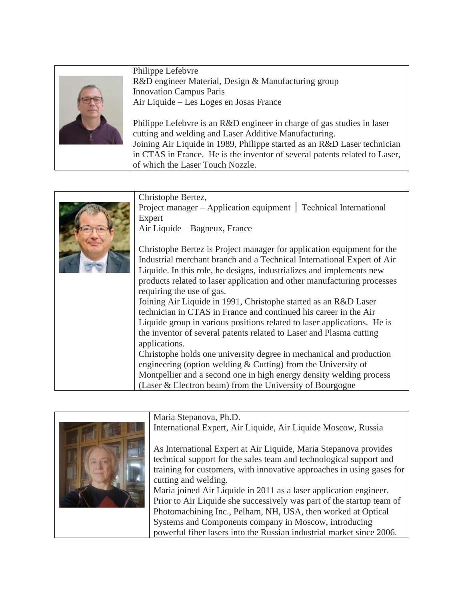| Philippe Lefebvre                                                                                                               |
|---------------------------------------------------------------------------------------------------------------------------------|
| R&D engineer Material, Design & Manufacturing group<br><b>Innovation Campus Paris</b>                                           |
| Air Liquide – Les Loges en Josas France                                                                                         |
| Philippe Lefebvre is an R&D engineer in charge of gas studies in laser<br>cutting and welding and Laser Additive Manufacturing. |
| Joining Air Liquide in 1989, Philippe started as an R&D Laser technician                                                        |
| in CTAS in France. He is the inventor of several patents related to Laser,                                                      |
| of which the Laser Touch Nozzle.                                                                                                |

|  | Christophe Bertez,                                                      |
|--|-------------------------------------------------------------------------|
|  | Project manager – Application equipment $\vert$ Technical International |
|  | Expert                                                                  |
|  | Air Liquide – Bagneux, France                                           |
|  | Christophe Bertez is Project manager for application equipment for the  |
|  | Industrial merchant branch and a Technical International Expert of Air  |
|  | Liquide. In this role, he designs, industrializes and implements new    |
|  | products related to laser application and other manufacturing processes |
|  | requiring the use of gas.                                               |
|  | Joining Air Liquide in 1991, Christophe started as an R&D Laser         |
|  | technician in CTAS in France and continued his career in the Air        |
|  | Liquide group in various positions related to laser applications. He is |
|  | the inventor of several patents related to Laser and Plasma cutting     |
|  | applications.                                                           |
|  | Christophe holds one university degree in mechanical and production     |
|  | engineering (option welding $&$ Cutting) from the University of         |
|  | Montpellier and a second one in high energy density welding process     |
|  | (Laser & Electron beam) from the University of Bourgogne                |



powerful fiber lasers into the Russian industrial market since 2006.